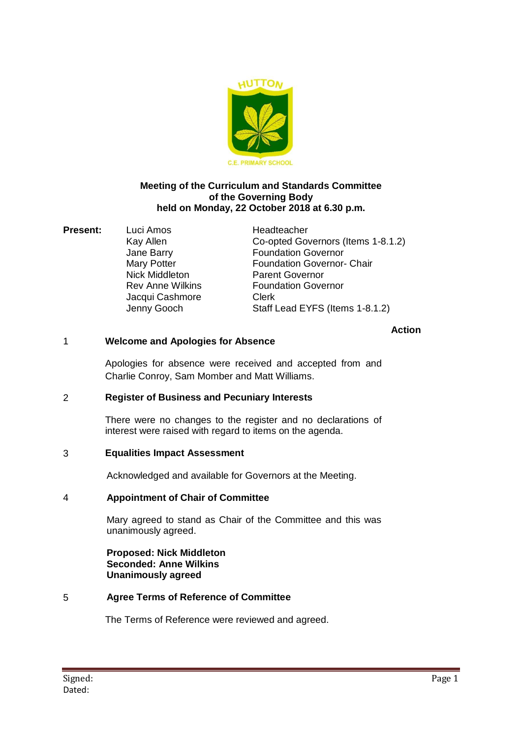

### **Meeting of the Curriculum and Standards Committee of the Governing Body held on Monday, 22 October 2018 at 6.30 p.m.**

**Present:** Luci Amos Headteacher Jacqui Cashmore Clerk

Kay Allen Co-opted Governors (Items 1-8.1.2) Jane Barry Foundation Governor Mary Potter **Foundation Governor- Chair**<br>
Nick Middleton<br> **Parent Governor** Parent Governor Rev Anne Wilkins **Foundation Governor** Jenny Gooch Staff Lead EYFS (Items 1-8.1.2)

### **Action**

## 1 **Welcome and Apologies for Absence**

Apologies for absence were received and accepted from and Charlie Conroy, Sam Momber and Matt Williams.

### 2 **Register of Business and Pecuniary Interests**

There were no changes to the register and no declarations of interest were raised with regard to items on the agenda.

### 3 **Equalities Impact Assessment**

Acknowledged and available for Governors at the Meeting.

### 4 **Appointment of Chair of Committee**

Mary agreed to stand as Chair of the Committee and this was unanimously agreed.

**Proposed: Nick Middleton Seconded: Anne Wilkins Unanimously agreed**

### 5 **Agree Terms of Reference of Committee**

The Terms of Reference were reviewed and agreed.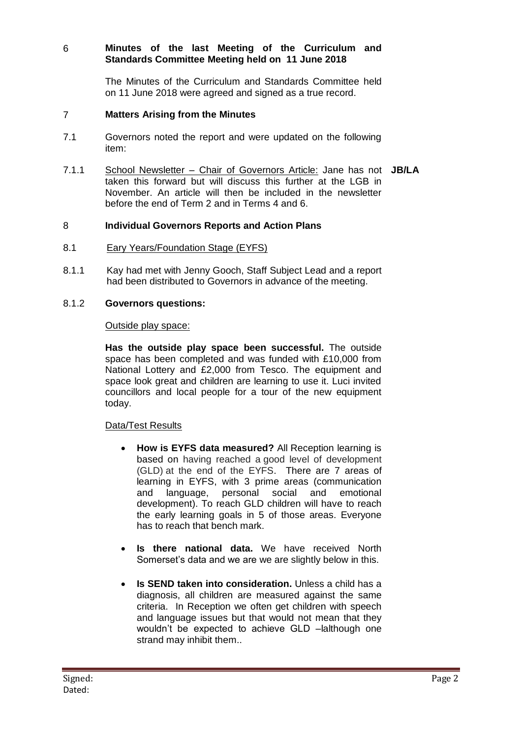# 6 **Minutes of the last Meeting of the Curriculum and Standards Committee Meeting held on 11 June 2018**

The Minutes of the Curriculum and Standards Committee held on 11 June 2018 were agreed and signed as a true record.

### 7 **Matters Arising from the Minutes**

- 7.1 Governors noted the report and were updated on the following item:
- 7.1.1 School Newsletter Chair of Governors Article: Jane has not **JB/LA** taken this forward but will discuss this further at the LGB in November. An article will then be included in the newsletter before the end of Term 2 and in Terms 4 and 6.

### 8 **Individual Governors Reports and Action Plans**

- 8.1 Eary Years/Foundation Stage (EYFS)
- 8.1.1 Kay had met with Jenny Gooch, Staff Subject Lead and a report had been distributed to Governors in advance of the meeting.

#### 8.1.2 **Governors questions:**

#### Outside play space:

**Has the outside play space been successful.** The outside space has been completed and was funded with £10,000 from National Lottery and £2,000 from Tesco. The equipment and space look great and children are learning to use it. Luci invited councillors and local people for a tour of the new equipment today.

### Data/Test Results

- **How is EYFS data measured?** All Reception learning is based on having reached a good level of development (GLD) at the end of the EYFS. There are 7 areas of learning in EYFS, with 3 prime areas (communication and language, personal social and emotional development). To reach GLD children will have to reach the early learning goals in 5 of those areas. Everyone has to reach that bench mark.
- **Is there national data.** We have received North Somerset's data and we are we are slightly below in this.
- **Is SEND taken into consideration.** Unless a child has a diagnosis, all children are measured against the same criteria. In Reception we often get children with speech and language issues but that would not mean that they wouldn't be expected to achieve GLD –lalthough one strand may inhibit them..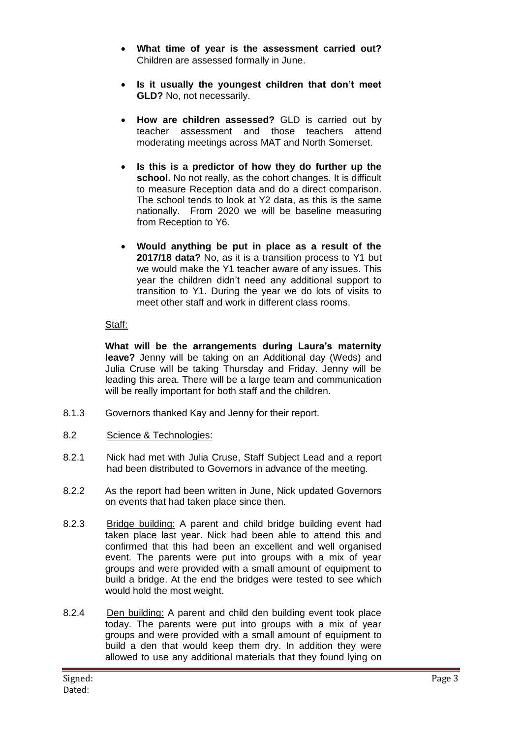- **What time of year is the assessment carried out?** Children are assessed formally in June.
- **Is it usually the youngest children that don't meet GLD?** No, not necessarily.
- **How are children assessed?** GLD is carried out by teacher assessment and those teachers attend moderating meetings across MAT and North Somerset.
- **Is this is a predictor of how they do further up the**  school. No not really, as the cohort changes. It is difficult to measure Reception data and do a direct comparison. The school tends to look at Y2 data, as this is the same nationally. From 2020 we will be baseline measuring from Reception to Y6.
- **Would anything be put in place as a result of the 2017/18 data?** No, as it is a transition process to Y1 but we would make the Y1 teacher aware of any issues. This year the children didn't need any additional support to transition to Y1. During the year we do lots of visits to meet other staff and work in different class rooms.

### Staff:

**What will be the arrangements during Laura's maternity leave?** Jenny will be taking on an Additional day (Weds) and Julia Cruse will be taking Thursday and Friday. Jenny will be leading this area. There will be a large team and communication will be really important for both staff and the children.

- 8.1.3 Governors thanked Kay and Jenny for their report.
- 8.2 Science & Technologies:
- 8.2.1 Nick had met with Julia Cruse, Staff Subject Lead and a report had been distributed to Governors in advance of the meeting.
- 8.2.2 As the report had been written in June, Nick updated Governors on events that had taken place since then.
- 8.2.3 Bridge building: A parent and child bridge building event had taken place last year. Nick had been able to attend this and confirmed that this had been an excellent and well organised event. The parents were put into groups with a mix of year groups and were provided with a small amount of equipment to build a bridge. At the end the bridges were tested to see which would hold the most weight.
- 8.2.4 Den building: A parent and child den building event took place today. The parents were put into groups with a mix of year groups and were provided with a small amount of equipment to build a den that would keep them dry. In addition they were allowed to use any additional materials that they found lying on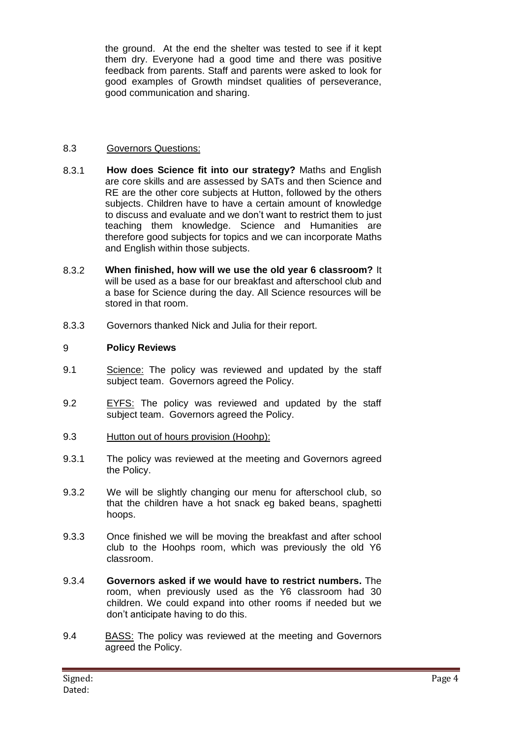the ground. At the end the shelter was tested to see if it kept them dry. Everyone had a good time and there was positive feedback from parents. Staff and parents were asked to look for good examples of Growth mindset qualities of perseverance, good communication and sharing.

## 8.3 Governors Questions:

- 8.3.1 **How does Science fit into our strategy?** Maths and English are core skills and are assessed by SATs and then Science and RE are the other core subjects at Hutton, followed by the others subjects. Children have to have a certain amount of knowledge to discuss and evaluate and we don't want to restrict them to just teaching them knowledge. Science and Humanities are therefore good subjects for topics and we can incorporate Maths and English within those subjects.
- 8.3.2 **When finished, how will we use the old year 6 classroom?** It will be used as a base for our breakfast and afterschool club and a base for Science during the day. All Science resources will be stored in that room.
- 8.3.3 Governors thanked Nick and Julia for their report.

## 9 **Policy Reviews**

- 9.1 Science: The policy was reviewed and updated by the staff subject team. Governors agreed the Policy.
- 9.2 EYFS: The policy was reviewed and updated by the staff subject team. Governors agreed the Policy.
- 9.3 Hutton out of hours provision (Hoohp):
- 9.3.1 The policy was reviewed at the meeting and Governors agreed the Policy.
- 9.3.2 We will be slightly changing our menu for afterschool club, so that the children have a hot snack eg baked beans, spaghetti hoops.
- 9.3.3 Once finished we will be moving the breakfast and after school club to the Hoohps room, which was previously the old Y6 classroom.
- 9.3.4 **Governors asked if we would have to restrict numbers.** The room, when previously used as the Y6 classroom had 30 children. We could expand into other rooms if needed but we don't anticipate having to do this.
- 9.4 BASS: The policy was reviewed at the meeting and Governors agreed the Policy.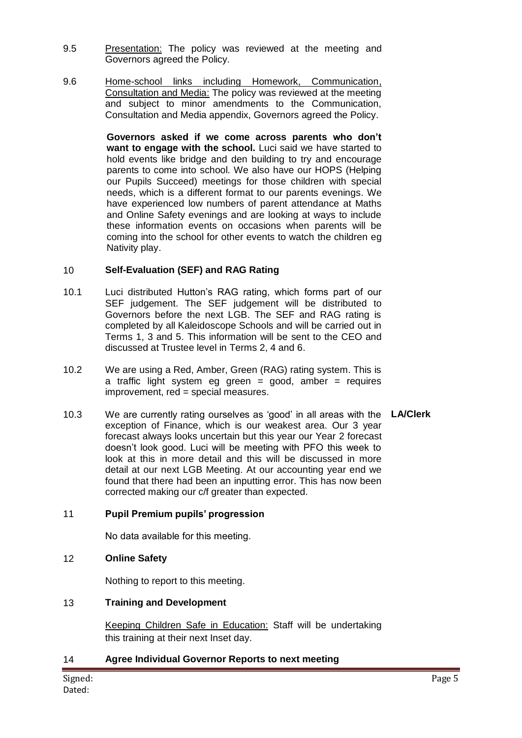- 9.5 Presentation: The policy was reviewed at the meeting and Governors agreed the Policy.
- 9.6 Home-school links including Homework, Communication, Consultation and Media: The policy was reviewed at the meeting and subject to minor amendments to the Communication, Consultation and Media appendix, Governors agreed the Policy.

**Governors asked if we come across parents who don't want to engage with the school.** Luci said we have started to hold events like bridge and den building to try and encourage parents to come into school. We also have our HOPS (Helping our Pupils Succeed) meetings for those children with special needs, which is a different format to our parents evenings. We have experienced low numbers of parent attendance at Maths and Online Safety evenings and are looking at ways to include these information events on occasions when parents will be coming into the school for other events to watch the children eg Nativity play.

## 10 **Self-Evaluation (SEF) and RAG Rating**

- 10.1 Luci distributed Hutton's RAG rating, which forms part of our SEF judgement. The SEF judgement will be distributed to Governors before the next LGB. The SEF and RAG rating is completed by all Kaleidoscope Schools and will be carried out in Terms 1, 3 and 5. This information will be sent to the CEO and discussed at Trustee level in Terms 2, 4 and 6.
- 10.2 We are using a Red, Amber, Green (RAG) rating system. This is a traffic light system eg green = good, amber = requires improvement, red = special measures.
- 10.3 We are currently rating ourselves as 'good' in all areas with the **LA/Clerk** exception of Finance, which is our weakest area. Our 3 year forecast always looks uncertain but this year our Year 2 forecast doesn't look good. Luci will be meeting with PFO this week to look at this in more detail and this will be discussed in more detail at our next LGB Meeting. At our accounting year end we found that there had been an inputting error. This has now been corrected making our c/f greater than expected.

### 11 **Pupil Premium pupils' progression**

No data available for this meeting.

### 12 **Online Safety**

Nothing to report to this meeting.

### 13 **Training and Development**

Keeping Children Safe in Education: Staff will be undertaking this training at their next Inset day.

### 14 **Agree Individual Governor Reports to next meeting**